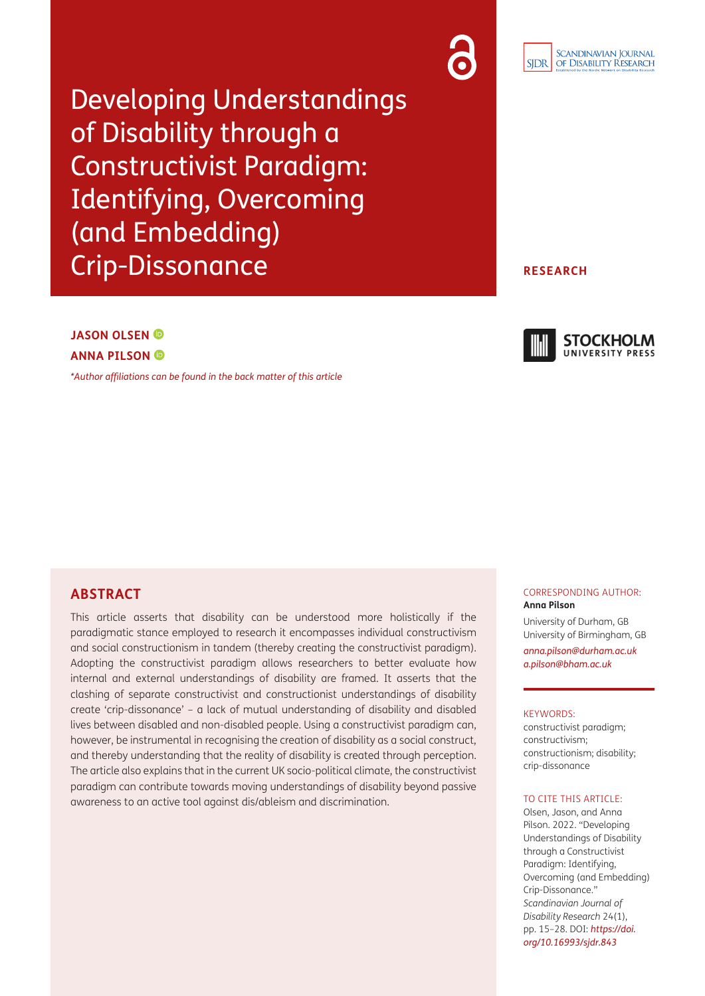Developing Understandings of Disability through a Constructivist Paradigm: Identifying, Overcoming (and Embedding) Crip-Dissonance

#### **RESEARCH**

# **JASON OLSEN ANNA PILSON**

*[\\*Author affiliations can be found in the back matter of this article](#page-10-0)*



### **ABSTRACT**

This article asserts that disability can be understood more holistically if the paradigmatic stance employed to research it encompasses individual constructivism and social constructionism in tandem (thereby creating the constructivist paradigm). Adopting the constructivist paradigm allows researchers to better evaluate how internal and external understandings of disability are framed. It asserts that the clashing of separate constructivist and constructionist understandings of disability create 'crip-dissonance' – a lack of mutual understanding of disability and disabled lives between disabled and non-disabled people. Using a constructivist paradigm can, however, be instrumental in recognising the creation of disability as a social construct, and thereby understanding that the reality of disability is created through perception. The article also explains that in the current UK socio-political climate, the constructivist paradigm can contribute towards moving understandings of disability beyond passive awareness to an active tool against dis/ableism and discrimination.

#### CORRESPONDING AUTHOR: **Anna Pilson**

University of Durham, GB University of Birmingham, GB

*[anna.pilson@durham.ac.uk](mailto:anna.pilson@durham.ac.uk) [a.pilson@bham.ac.uk](mailto:a.pilson@bham.ac.uk)*

#### KEYWORDS:

constructivist paradigm; constructivism; constructionism; disability; crip-dissonance

#### TO CITE THIS ARTICLE:

Olsen, Jason, and Anna Pilson. 2022. "Developing Understandings of Disability through a Constructivist Paradigm: Identifying, Overcoming (and Embedding) Crip-Dissonance." *Scandinavian Journal of Disability Research* 24(1), pp. 15–28. DOI: *[https://doi.](https://doi.org/10.16993/sjdr.843) [org/10.16993/sjdr.843](https://doi.org/10.16993/sjdr.843)*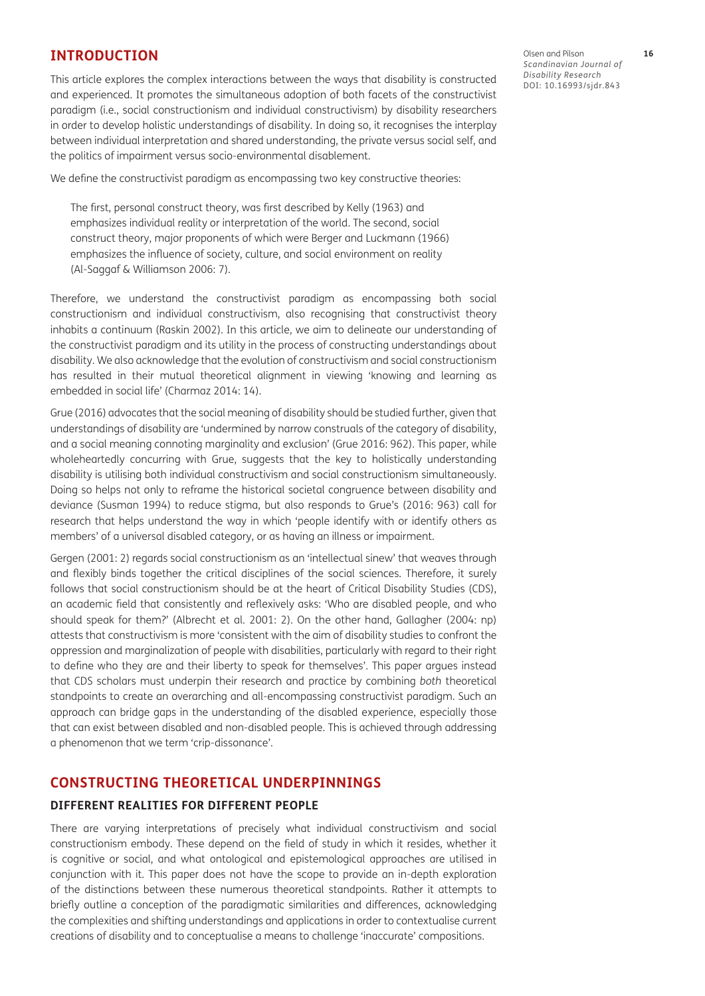### **INTRODUCTION**

This article explores the complex interactions between the ways that disability is constructed and experienced. It promotes the simultaneous adoption of both facets of the constructivist paradigm (i.e., social constructionism and individual constructivism) by disability researchers in order to develop holistic understandings of disability. In doing so, it recognises the interplay between individual interpretation and shared understanding, the private versus social self, and the politics of impairment versus socio-environmental disablement.

We define the constructivist paradigm as encompassing two key constructive theories:

The first, personal construct theory, was first described by Kelly [\(1963\)](#page-12-0) and emphasizes individual reality or interpretation of the world. The second, social construct theory, major proponents of which were Berger and Luckmann ([1966\)](#page-10-1) emphasizes the influence of society, culture, and social environment on reality [\(Al-Saggaf & Williamson 2006:](#page-10-1) 7).

Therefore, we understand the constructivist paradigm as encompassing both social constructionism and individual constructivism, also recognising that constructivist theory inhabits a continuum [\(Raskin 2002](#page-12-0)). In this article, we aim to delineate our understanding of the constructivist paradigm and its utility in the process of constructing understandings about disability. We also acknowledge that the evolution of constructivism and social constructionism has resulted in their mutual theoretical alignment in viewing 'knowing and learning as embedded in social life' [\(Charmaz 2014: 14\)](#page-11-0).

Grue [\(2016\)](#page-11-0) advocates that the social meaning of disability should be studied further, given that understandings of disability are 'undermined by narrow construals of the category of disability, and a social meaning connoting marginality and exclusion' [\(Grue 2016: 962](#page-11-0)). This paper, while wholeheartedly concurring with Grue, suggests that the key to holistically understanding disability is utilising both individual constructivism and social constructionism simultaneously. Doing so helps not only to reframe the historical societal congruence between disability and deviance (Susman 1994) to reduce stigma, but also responds to Grue's [\(2016: 963\)](#page-11-0) call for research that helps understand the way in which 'people identify with or identify others as members' of a universal disabled category, or as having an illness or impairment.

Gergen [\(2001: 2\)](#page-11-0) regards social constructionism as an 'intellectual sinew' that weaves through and flexibly binds together the critical disciplines of the social sciences. Therefore, it surely follows that social constructionism should be at the heart of Critical Disability Studies (CDS), an academic field that consistently and reflexively asks: 'Who are disabled people, and who should speak for them?' ([Albrecht et al. 2001: 2](#page-10-1)). On the other hand, Gallagher ([2004: np\)](#page-11-0) attests that constructivism is more 'consistent with the aim of disability studies to confront the oppression and marginalization of people with disabilities, particularly with regard to their right to define who they are and their liberty to speak for themselves'. This paper argues instead that CDS scholars must underpin their research and practice by combining *both* theoretical standpoints to create an overarching and all-encompassing constructivist paradigm. Such an approach can bridge gaps in the understanding of the disabled experience, especially those that can exist between disabled and non-disabled people. This is achieved through addressing a phenomenon that we term 'crip-dissonance'.

### **CONSTRUCTING THEORETICAL UNDERPINNINGS**

### **DIFFERENT REALITIES FOR DIFFERENT PEOPLE**

There are varying interpretations of precisely what individual constructivism and social constructionism embody. These depend on the field of study in which it resides, whether it is cognitive or social, and what ontological and epistemological approaches are utilised in conjunction with it. This paper does not have the scope to provide an in-depth exploration of the distinctions between these numerous theoretical standpoints. Rather it attempts to briefly outline a conception of the paradigmatic similarities and differences, acknowledging the complexities and shifting understandings and applications in order to contextualise current creations of disability and to conceptualise a means to challenge 'inaccurate' compositions.

Olsen and Pilson **16** *Scandinavian Journal of Disability Research* DOI: [10.16993/sjdr.843](https://doi.org/10.16993/sjdr.843)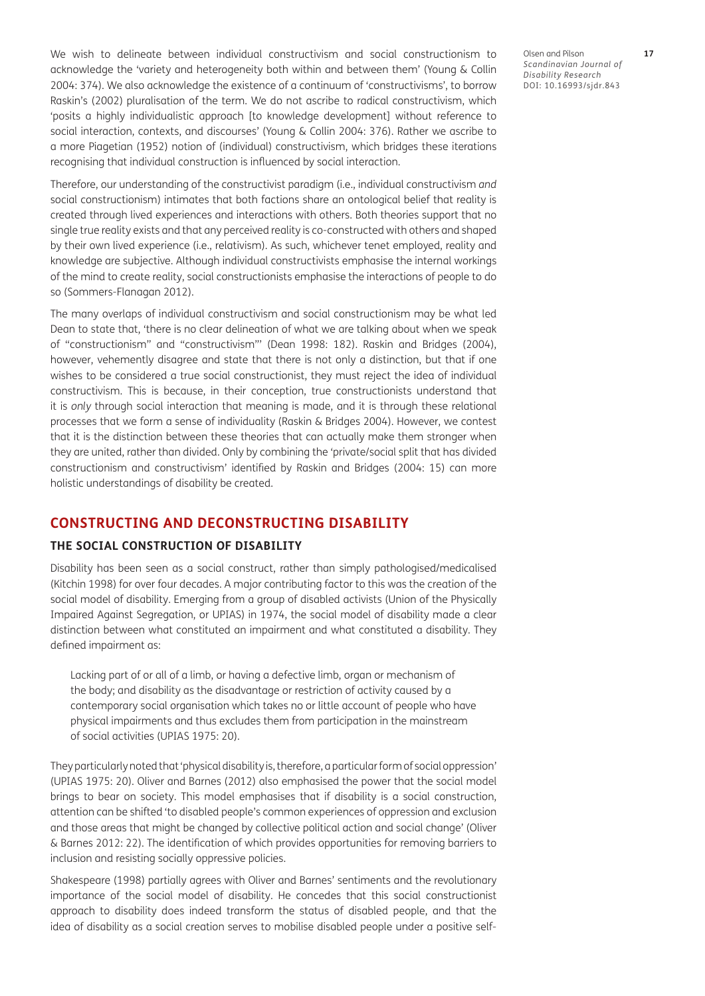We wish to delineate between individual constructivism and social constructionism to acknowledge the 'variety and heterogeneity both within and between them' ([Young & Collin](#page-13-0)  [2004: 374](#page-13-0)). We also acknowledge the existence of a continuum of 'constructivisms', to borrow Raskin's [\(2002\)](#page-12-0) pluralisation of the term. We do not ascribe to radical constructivism, which 'posits a highly individualistic approach [to knowledge development] without reference to social interaction, contexts, and discourses' ([Young & Collin 2004: 376](#page-13-0)). Rather we ascribe to a more Piagetian [\(1952\)](#page-12-0) notion of (individual) constructivism, which bridges these iterations recognising that individual construction is influenced by social interaction.

Therefore, our understanding of the constructivist paradigm (i.e., individual constructivism *and* social constructionism) intimates that both factions share an ontological belief that reality is created through lived experiences and interactions with others. Both theories support that no single true reality exists and that any perceived reality is co-constructed with others and shaped by their own lived experience (i.e., relativism). As such, whichever tenet employed, reality and knowledge are subjective. Although individual constructivists emphasise the internal workings of the mind to create reality, social constructionists emphasise the interactions of people to do so ([Sommers-Flanagan 2012\)](#page-13-0).

The many overlaps of individual constructivism and social constructionism may be what led Dean to state that, 'there is no clear delineation of what we are talking about when we speak of "constructionism" and "constructivism"' ([Dean 1998: 182](#page-11-0)). Raskin and Bridges ([2004](#page-12-0)), however, vehemently disagree and state that there is not only a distinction, but that if one wishes to be considered a true social constructionist, they must reject the idea of individual constructivism. This is because, in their conception, true constructionists understand that it is *only* through social interaction that meaning is made, and it is through these relational processes that we form a sense of individuality ([Raskin & Bridges 2004\)](#page-12-0). However, we contest that it is the distinction between these theories that can actually make them stronger when they are united, rather than divided. Only by combining the 'private/social split that has divided constructionism and constructivism' identified by Raskin and Bridges ([2004: 15\)](#page-12-0) can more holistic understandings of disability be created.

## **CONSTRUCTING AND DECONSTRUCTING DISABILITY**

### **THE SOCIAL CONSTRUCTION OF DISABILITY**

Disability has been seen as a social construct, rather than simply pathologised/medicalised [\(Kitchin 1998](#page-12-0)) for over four decades. A major contributing factor to this was the creation of the social model of disability. Emerging from a group of disabled activists (Union of the Physically Impaired Against Segregation, or UPIAS) in 1974, the social model of disability made a clear distinction between what constituted an impairment and what constituted a disability. They defined impairment as:

Lacking part of or all of a limb, or having a defective limb, organ or mechanism of the body; and disability as the disadvantage or restriction of activity caused by a contemporary social organisation which takes no or little account of people who have physical impairments and thus excludes them from participation in the mainstream of social activities (UPIAS 1975: 20).

They particularly noted that 'physical disability is, therefore, a particular form of social oppression' (UPIAS 1975: 20). Oliver and Barnes ([2012](#page-12-0)) also emphasised the power that the social model brings to bear on society. This model emphasises that if disability is a social construction, attention can be shifted 'to disabled people's common experiences of oppression and exclusion and those areas that might be changed by collective political action and social change' ([Oliver](#page-12-0)  [& Barnes 2012: 22\)](#page-12-0). The identification of which provides opportunities for removing barriers to inclusion and resisting socially oppressive policies.

Shakespeare ([1998\)](#page-13-0) partially agrees with Oliver and Barnes' sentiments and the revolutionary importance of the social model of disability. He concedes that this social constructionist approach to disability does indeed transform the status of disabled people, and that the idea of disability as a social creation serves to mobilise disabled people under a positive self-

Olsen and Pilson **17** *Scandinavian Journal of Disability Research* DOI: [10.16993/sjdr.843](https://doi.org/10.16993/sjdr.843)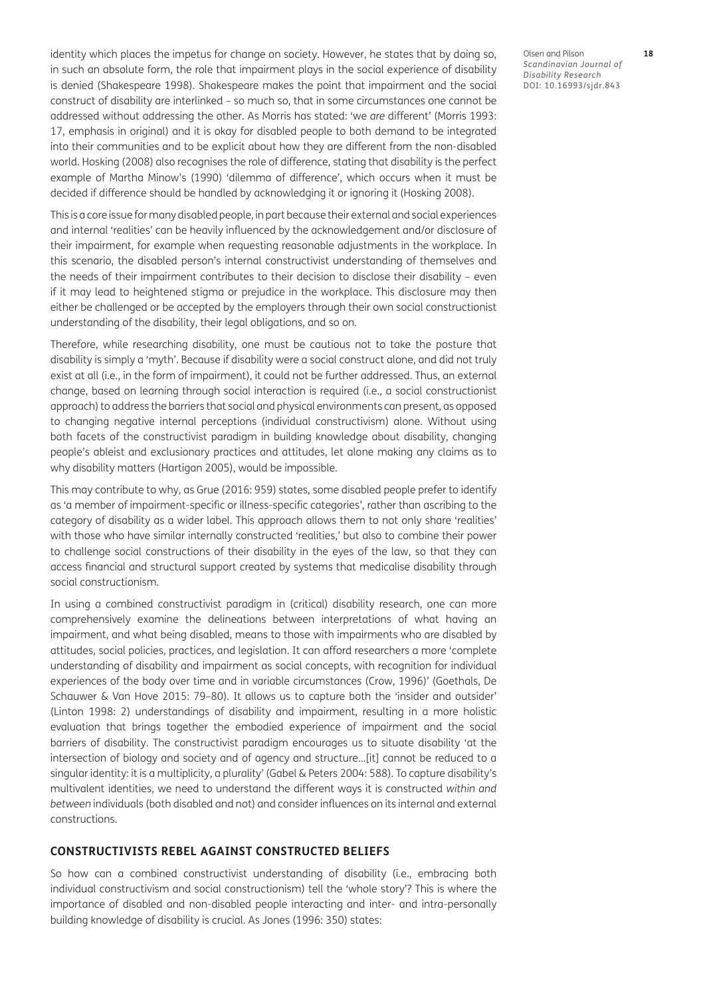identity which places the impetus for change on society. However, he states that by doing so, in such an absolute form, the role that impairment plays in the social experience of disability is denied [\(Shakespeare 1998\)](#page-12-0). Shakespeare makes the point that impairment and the social construct of disability are interlinked – so much so, that in some circumstances one cannot be addressed without addressing the other. As Morris has stated: 'we *are* different' ([Morris 1993](#page-12-0): 17, emphasis in original) and it is okay for disabled people to both demand to be integrated into their communities and to be explicit about how they are different from the non-disabled world. Hosking ([2008\)](#page-11-0) also recognises the role of difference, stating that disability is the perfect example of Martha Minow's (1990) 'dilemma of difference', which occurs when it must be decided if difference should be handled by acknowledging it or ignoring it [\(Hosking 2008\)](#page-11-0).

This is a core issue for many disabled people, in part because their external and social experiences and internal 'realities' can be heavily influenced by the acknowledgement and/or disclosure of their impairment, for example when requesting reasonable adjustments in the workplace. In this scenario, the disabled person's internal constructivist understanding of themselves and the needs of their impairment contributes to their decision to disclose their disability – even if it may lead to heightened stigma or prejudice in the workplace. This disclosure may then either be challenged or be accepted by the employers through their own social constructionist understanding of the disability, their legal obligations, and so on.

Therefore, while researching disability, one must be cautious not to take the posture that disability is simply a 'myth'. Because if disability were a social construct alone, and did not truly exist at all (i.e., in the form of impairment), it could not be further addressed. Thus, an external change, based on learning through social interaction is required (i.e., a social constructionist approach) to address the barriers that social and physical environments can present, as opposed to changing negative internal perceptions (individual constructivism) alone. Without using both facets of the constructivist paradigm in building knowledge about disability, changing people's ableist and exclusionary practices and attitudes, let alone making any claims as to why disability matters [\(Hartigan 2005\)](#page-11-0), would be impossible.

This may contribute to why, as Grue [\(2016: 959](#page-11-0)) states, some disabled people prefer to identify as 'a member of impairment-specific or illness-specific categories', rather than ascribing to the category of disability as a wider label. This approach allows them to not only share 'realities' with those who have similar internally constructed 'realities,' but also to combine their power to challenge social constructions of their disability in the eyes of the law, so that they can access financial and structural support created by systems that medicalise disability through social constructionism.

In using a combined constructivist paradigm in (critical) disability research, one can more comprehensively examine the delineations between interpretations of what having an impairment, and what being disabled, means to those with impairments who are disabled by attitudes, social policies, practices, and legislation. It can afford researchers a more 'complete understanding of disability and impairment as social concepts, with recognition for individual experiences of the body over time and in variable circumstances (Crow, 1996)' [\(Goethals, De](#page-11-0)  [Schauwer & Van Hove 2015: 79–80\)](#page-11-0). It allows us to capture both the 'insider and outsider' [\(Linton 1998: 2](#page-12-0)) understandings of disability and impairment, resulting in a more holistic evaluation that brings together the embodied experience of impairment and the social barriers of disability. The constructivist paradigm encourages us to situate disability 'at the intersection of biology and society and of agency and structure…[it] cannot be reduced to a singular identity: it is a multiplicity, a plurality' ([Gabel & Peters 2004: 588](#page-11-0)). To capture disability's multivalent identities, we need to understand the different ways it is constructed *within and between* individuals (both disabled and not) and consider influences on its internal and external constructions.

### **CONSTRUCTIVISTS REBEL AGAINST CONSTRUCTED BELIEFS**

So how can a combined constructivist understanding of disability (i.e., embracing both individual constructivism and social constructionism) tell the 'whole story'? This is where the importance of disabled and non-disabled people interacting and inter- and intra-personally building knowledge of disability is crucial. As Jones [\(1996: 350\)](#page-12-0) states:

Olsen and Pilson **18** *Scandinavian Journal of Disability Research* DOI: [10.16993/sjdr.843](https://doi.org/10.16993/sjdr.843)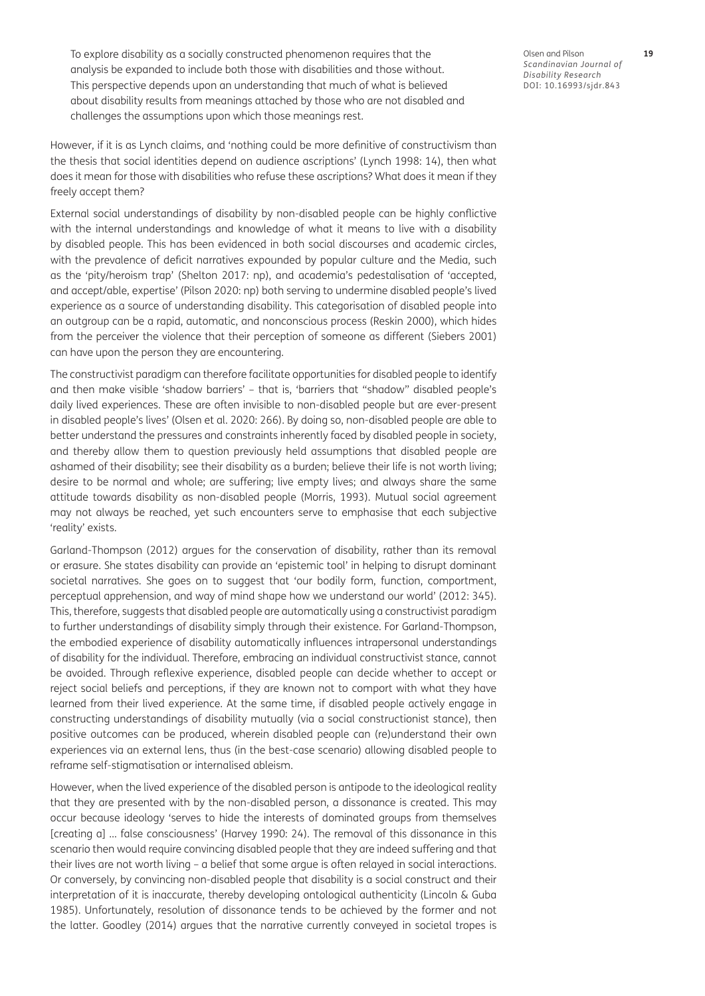To explore disability as a socially constructed phenomenon requires that the analysis be expanded to include both those with disabilities and those without. This perspective depends upon an understanding that much of what is believed about disability results from meanings attached by those who are not disabled and challenges the assumptions upon which those meanings rest.

However, if it is as Lynch claims, and 'nothing could be more definitive of constructivism than the thesis that social identities depend on audience ascriptions' ([Lynch 1998: 14](#page-12-0)), then what does it mean for those with disabilities who refuse these ascriptions? What does it mean if they freely accept them?

External social understandings of disability by non-disabled people can be highly conflictive with the internal understandings and knowledge of what it means to live with a disability by disabled people. This has been evidenced in both social discourses and academic circles, with the prevalence of deficit narratives expounded by popular culture and the Media, such as the 'pity/heroism trap' [\(Shelton 2017: np](#page-12-0)), and academia's pedestalisation of 'accepted, and accept/able, expertise' [\(Pilson 2020: np](#page-12-0)) both serving to undermine disabled people's lived experience as a source of understanding disability. This categorisation of disabled people into an outgroup can be a rapid, automatic, and nonconscious process [\(Reskin 2000\)](#page-12-0), which hides from the perceiver the violence that their perception of someone as different [\(Siebers 2001\)](#page-13-0) can have upon the person they are encountering.

The constructivist paradigm can therefore facilitate opportunities for disabled people to identify and then make visible 'shadow barriers' – that is, 'barriers that "shadow" disabled people's daily lived experiences. These are often invisible to non-disabled people but are ever-present in disabled people's lives' ([Olsen et al. 2020: 266](#page-12-0)). By doing so, non-disabled people are able to better understand the pressures and constraints inherently faced by disabled people in society, and thereby allow them to question previously held assumptions that disabled people are ashamed of their disability; see their disability as a burden; believe their life is not worth living; desire to be normal and whole; are suffering; live empty lives; and always share the same attitude towards disability as non-disabled people [\(Morris, 1993\)](#page-12-0). Mutual social agreement may not always be reached, yet such encounters serve to emphasise that each subjective 'reality' exists.

Garland-Thompson ([2012](#page-11-0)) argues for the conservation of disability, rather than its removal or erasure. She states disability can provide an 'epistemic tool' in helping to disrupt dominant societal narratives. She goes on to suggest that 'our bodily form, function, comportment, perceptual apprehension, and way of mind shape how we understand our world' (2012: 345). This, therefore, suggests that disabled people are automatically using a constructivist paradigm to further understandings of disability simply through their existence. For Garland-Thompson, the embodied experience of disability automatically influences intrapersonal understandings of disability for the individual. Therefore, embracing an individual constructivist stance, cannot be avoided. Through reflexive experience, disabled people can decide whether to accept or reject social beliefs and perceptions, if they are known not to comport with what they have learned from their lived experience. At the same time, if disabled people actively engage in constructing understandings of disability mutually (via a social constructionist stance), then positive outcomes can be produced, wherein disabled people can (re)understand their own experiences via an external lens, thus (in the best-case scenario) allowing disabled people to reframe self-stigmatisation or internalised ableism.

However, when the lived experience of the disabled person is antipode to the ideological reality that they are presented with by the non-disabled person, a dissonance is created. This may occur because ideology 'serves to hide the interests of dominated groups from themselves [creating a] … false consciousness' ([Harvey 1990: 24](#page-11-0)). The removal of this dissonance in this scenario then would require convincing disabled people that they are indeed suffering and that their lives are not worth living – a belief that some argue is often relayed in social interactions. Or conversely, by convincing non-disabled people that disability is a social construct and their interpretation of it is inaccurate, thereby developing ontological authenticity ([Lincoln & Guba](#page-12-0)  [1985](#page-12-0)). Unfortunately, resolution of dissonance tends to be achieved by the former and not the latter. Goodley ([2014](#page-11-0)) argues that the narrative currently conveyed in societal tropes is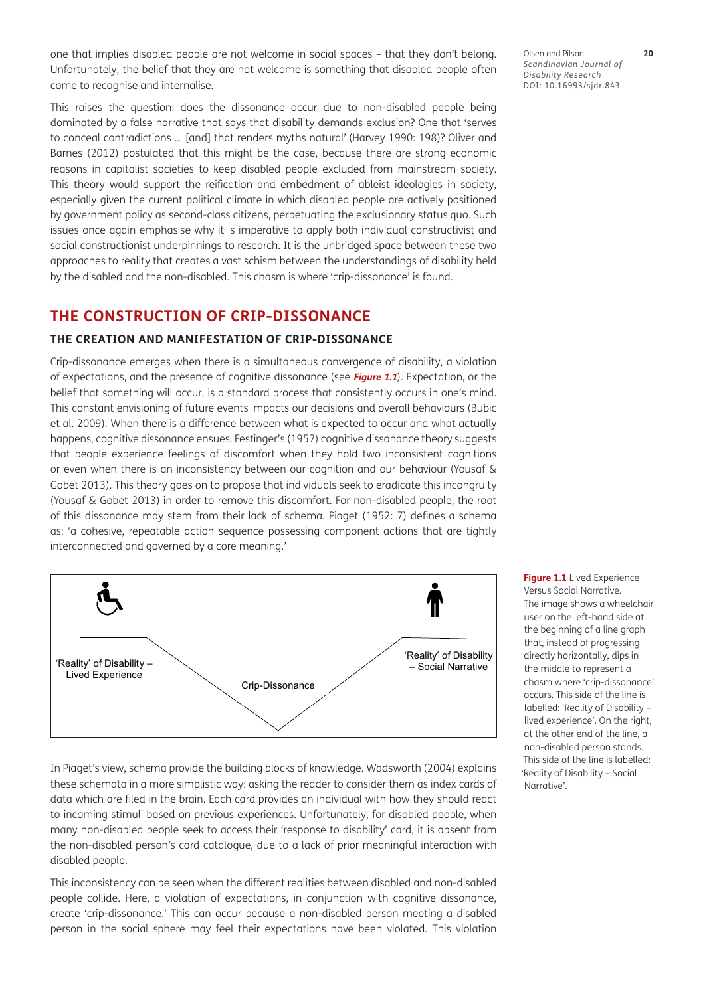one that implies disabled people are not welcome in social spaces – that they don't belong. Unfortunately, the belief that they are not welcome is something that disabled people often come to recognise and internalise.

This raises the question: does the dissonance occur due to non-disabled people being dominated by a false narrative that says that disability demands exclusion? One that 'serves to conceal contradictions … [and] that renders myths natural' ([Harvey 1990: 198](#page-11-0))? Oliver and Barnes ([2012](#page-12-0)) postulated that this might be the case, because there are strong economic reasons in capitalist societies to keep disabled people excluded from mainstream society. This theory would support the reification and embedment of ableist ideologies in society, especially given the current political climate in which disabled people are actively positioned by government policy as second-class citizens, perpetuating the exclusionary status quo. Such issues once again emphasise why it is imperative to apply both individual constructivist and social constructionist underpinnings to research. It is the unbridged space between these two approaches to reality that creates a vast schism between the understandings of disability held by the disabled and the non-disabled. This chasm is where 'crip-dissonance' is found.

# **THE CONSTRUCTION OF CRIP-DISSONANCE**

### **THE CREATION AND MANIFESTATION OF CRIP-DISSONANCE**

Crip-dissonance emerges when there is a simultaneous convergence of disability, a violation of expectations, and the presence of cognitive dissonance (see **[Figure 1.1](#page-5-0)**). Expectation, or the belief that something will occur, is a standard process that consistently occurs in one's mind. This constant envisioning of future events impacts our decisions and overall behaviours ([Bubic](#page-10-1)  [et al. 2009\)](#page-10-1). When there is a difference between what is expected to occur and what actually happens, cognitive dissonance ensues. Festinger's ([1957](#page-11-0)) cognitive dissonance theory suggests that people experience feelings of discomfort when they hold two inconsistent cognitions or even when there is an inconsistency between our cognition and our behaviour [\(Yousaf &](#page-13-0)  [Gobet 2013](#page-13-0)). This theory goes on to propose that individuals seek to eradicate this incongruity [\(Yousaf & Gobet 2013](#page-13-0)) in order to remove this discomfort. For non-disabled people, the root of this dissonance may stem from their lack of schema. Piaget [\(1952: 7](#page-12-0)) defines a schema as: 'a cohesive, repeatable action sequence possessing component actions that are tightly interconnected and governed by a core meaning.'



In Piaget's view, schema provide the building blocks of knowledge. Wadsworth ([2004\)](#page-13-0) explains these schemata in a more simplistic way: asking the reader to consider them as index cards of data which are filed in the brain. Each card provides an individual with how they should react to incoming stimuli based on previous experiences. Unfortunately, for disabled people, when many non-disabled people seek to access their 'response to disability' card, it is absent from the non-disabled person's card catalogue, due to a lack of prior meaningful interaction with disabled people.

This inconsistency can be seen when the different realities between disabled and non-disabled people collide. Here, a violation of expectations, in conjunction with cognitive dissonance, create 'crip-dissonance.' This can occur because a non-disabled person meeting a disabled person in the social sphere may feel their expectations have been violated. This violation

<span id="page-5-0"></span>**Figure 1.1** Lived Experience Versus Social Narrative. The image shows a wheelchair user on the left-hand side at the beginning of a line graph that, instead of progressing directly horizontally, dips in the middle to represent a chasm where 'crip-dissonance' occurs. This side of the line is labelled: 'Reality of Disability – lived experience'. On the right, at the other end of the line, a non-disabled person stands. This side of the line is labelled: 'Reality of Disability – Social Narrative'.

Olsen and Pilson **20** *Scandinavian Journal of Disability Research* DOI: [10.16993/sjdr.843](https://doi.org/10.16993/sjdr.843)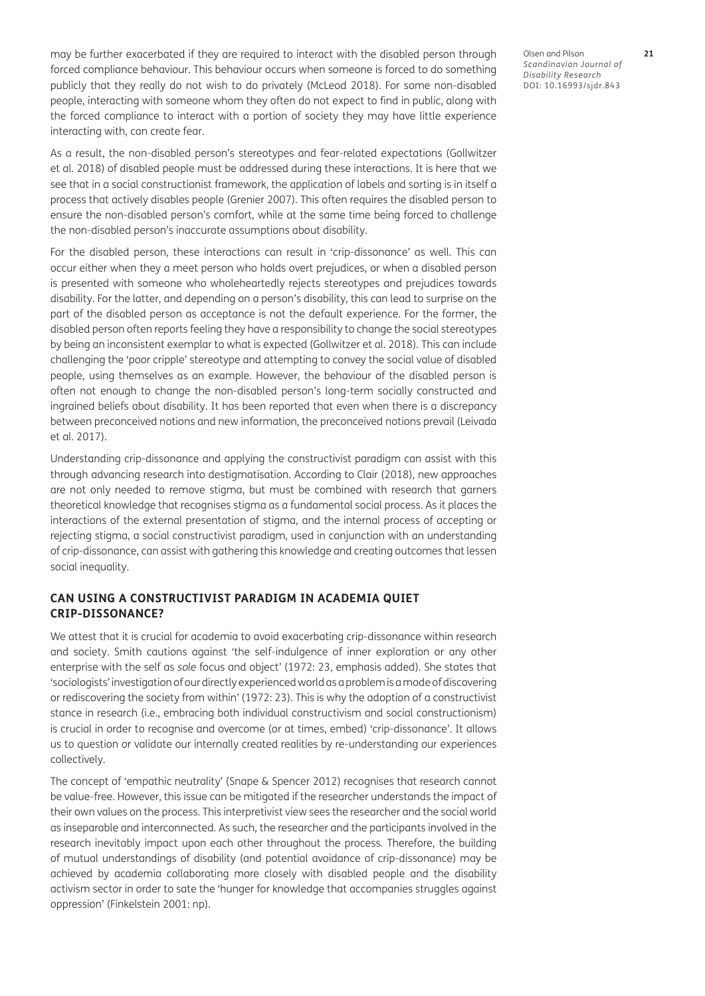may be further exacerbated if they are required to interact with the disabled person through forced compliance behaviour. This behaviour occurs when someone is forced to do something publicly that they really do not wish to do privately [\(McLeod 2018\)](#page-12-0). For some non-disabled people, interacting with someone whom they often do not expect to find in public, along with the forced compliance to interact with a portion of society they may have little experience interacting with, can create fear.

As a result, the non-disabled person's stereotypes and fear-related expectations ([Gollwitzer](#page-11-0)  [et al. 2018](#page-11-0)) of disabled people must be addressed during these interactions. It is here that we see that in a social constructionist framework, the application of labels and sorting is in itself a process that actively disables people ([Grenier 2007](#page-11-0)). This often requires the disabled person to ensure the non-disabled person's comfort, while at the same time being forced to challenge the non-disabled person's inaccurate assumptions about disability.

For the disabled person, these interactions can result in 'crip-dissonance' as well. This can occur either when they a meet person who holds overt prejudices, or when a disabled person is presented with someone who wholeheartedly rejects stereotypes and prejudices towards disability. For the latter, and depending on a person's disability, this can lead to surprise on the part of the disabled person as acceptance is not the default experience. For the former, the disabled person often reports feeling they have a responsibility to change the social stereotypes by being an inconsistent exemplar to what is expected ([Gollwitzer et al. 2018\)](#page-11-0). This can include challenging the 'poor cripple' stereotype and attempting to convey the social value of disabled people, using themselves as an example. However, the behaviour of the disabled person is often not enough to change the non-disabled person's long-term socially constructed and ingrained beliefs about disability. It has been reported that even when there is a discrepancy between preconceived notions and new information, the preconceived notions prevail ([Leivada](#page-12-0)  [et al. 2017](#page-12-0)).

Understanding crip-dissonance and applying the constructivist paradigm can assist with this through advancing research into destigmatisation. According to Clair ([2018](#page-11-0)), new approaches are not only needed to remove stigma, but must be combined with research that garners theoretical knowledge that recognises stigma as a fundamental social process. As it places the interactions of the external presentation of stigma, and the internal process of accepting or rejecting stigma, a social constructivist paradigm, used in conjunction with an understanding of crip-dissonance, can assist with gathering this knowledge and creating outcomes that lessen social inequality.

### **CAN USING A CONSTRUCTIVIST PARADIGM IN ACADEMIA QUIET CRIP-DISSONANCE?**

We attest that it is crucial for academia to avoid exacerbating crip-dissonance within research and society. Smith cautions against 'the self-indulgence of inner exploration or any other enterprise with the self as *sole* focus and object' [\(1972:](#page-13-0) 23, emphasis added). She states that 'sociologists' investigation of our directly experienced world as a problem is a mode of discovering or rediscovering the society from within' (1972: 23). This is why the adoption of a constructivist stance in research (i.e., embracing both individual constructivism and social constructionism) is crucial in order to recognise and overcome (or at times, embed) 'crip-dissonance'. It allows us to question or validate our internally created realities by re-understanding our experiences collectively.

The concept of 'empathic neutrality' ([Snape & Spencer 2012\)](#page-13-0) recognises that research cannot be value-free. However, this issue can be mitigated if the researcher understands the impact of their own values on the process. This interpretivist view sees the researcher and the social world as inseparable and interconnected. As such, the researcher and the participants involved in the research inevitably impact upon each other throughout the process. Therefore, the building of mutual understandings of disability (and potential avoidance of crip-dissonance) may be achieved by academia collaborating more closely with disabled people and the disability activism sector in order to sate the 'hunger for knowledge that accompanies struggles against oppression' [\(Finkelstein 2001: np\)](#page-11-0).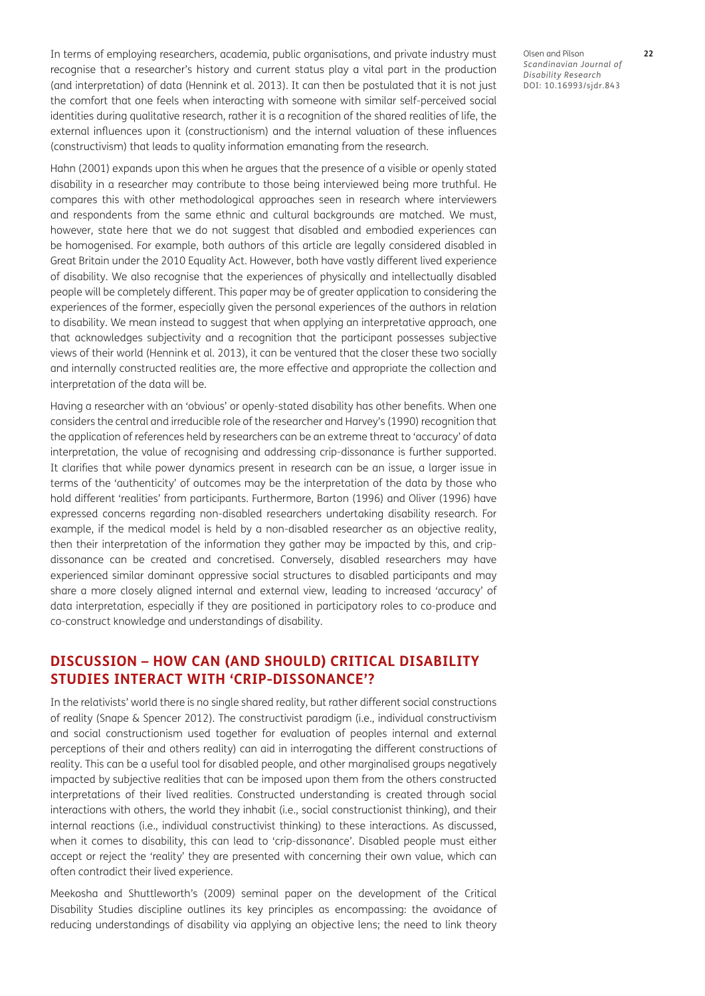In terms of employing researchers, academia, public organisations, and private industry must recognise that a researcher's history and current status play a vital part in the production (and interpretation) of data [\(Hennink et al. 2013](#page-11-0)). It can then be postulated that it is not just the comfort that one feels when interacting with someone with similar self-perceived social identities during qualitative research, rather it is a recognition of the shared realities of life, the external influences upon it (constructionism) and the internal valuation of these influences (constructivism) that leads to quality information emanating from the research.

Hahn [\(2001\)](#page-11-0) expands upon this when he argues that the presence of a visible or openly stated disability in a researcher may contribute to those being interviewed being more truthful. He compares this with other methodological approaches seen in research where interviewers and respondents from the same ethnic and cultural backgrounds are matched. We must, however, state here that we do not suggest that disabled and embodied experiences can be homogenised. For example, both authors of this article are legally considered disabled in Great Britain under the 2010 Equality Act. However, both have vastly different lived experience of disability. We also recognise that the experiences of physically and intellectually disabled people will be completely different. This paper may be of greater application to considering the experiences of the former, especially given the personal experiences of the authors in relation to disability. We mean instead to suggest that when applying an interpretative approach, one that acknowledges subjectivity and a recognition that the participant possesses subjective views of their world [\(Hennink et al. 2013](#page-11-0)), it can be ventured that the closer these two socially and internally constructed realities are, the more effective and appropriate the collection and interpretation of the data will be.

Having a researcher with an 'obvious' or openly-stated disability has other benefits. When one considers the central and irreducible role of the researcher and Harvey's [\(1990\)](#page-11-0) recognition that the application of references held by researchers can be an extreme threat to 'accuracy' of data interpretation, the value of recognising and addressing crip-dissonance is further supported. It clarifies that while power dynamics present in research can be an issue, a larger issue in terms of the 'authenticity' of outcomes may be the interpretation of the data by those who hold different 'realities' from participants. Furthermore, Barton [\(1996](#page-10-1)) and Oliver ([1996](#page-12-0)) have expressed concerns regarding non-disabled researchers undertaking disability research. For example, if the medical model is held by a non-disabled researcher as an objective reality, then their interpretation of the information they gather may be impacted by this, and cripdissonance can be created and concretised. Conversely, disabled researchers may have experienced similar dominant oppressive social structures to disabled participants and may share a more closely aligned internal and external view, leading to increased 'accuracy' of data interpretation, especially if they are positioned in participatory roles to co-produce and co-construct knowledge and understandings of disability.

# **DISCUSSION – HOW CAN (AND SHOULD) CRITICAL DISABILITY STUDIES INTERACT WITH 'CRIP-DISSONANCE'?**

In the relativists' world there is no single shared reality, but rather different social constructions of reality [\(Snape & Spencer 2012](#page-13-0)). The constructivist paradigm (i.e., individual constructivism and social constructionism used together for evaluation of peoples internal and external perceptions of their and others reality) can aid in interrogating the different constructions of reality. This can be a useful tool for disabled people, and other marginalised groups negatively impacted by subjective realities that can be imposed upon them from the others constructed interpretations of their lived realities. Constructed understanding is created through social interactions with others, the world they inhabit (i.e., social constructionist thinking), and their internal reactions (i.e., individual constructivist thinking) to these interactions. As discussed, when it comes to disability, this can lead to 'crip-dissonance'. Disabled people must either accept or reject the 'reality' they are presented with concerning their own value, which can often contradict their lived experience.

Meekosha and Shuttleworth's [\(2009\)](#page-12-0) seminal paper on the development of the Critical Disability Studies discipline outlines its key principles as encompassing: the avoidance of reducing understandings of disability via applying an objective lens; the need to link theory Olsen and Pilson **22** *Scandinavian Journal of Disability Research* DOI: [10.16993/sjdr.843](https://doi.org/10.16993/sjdr.843)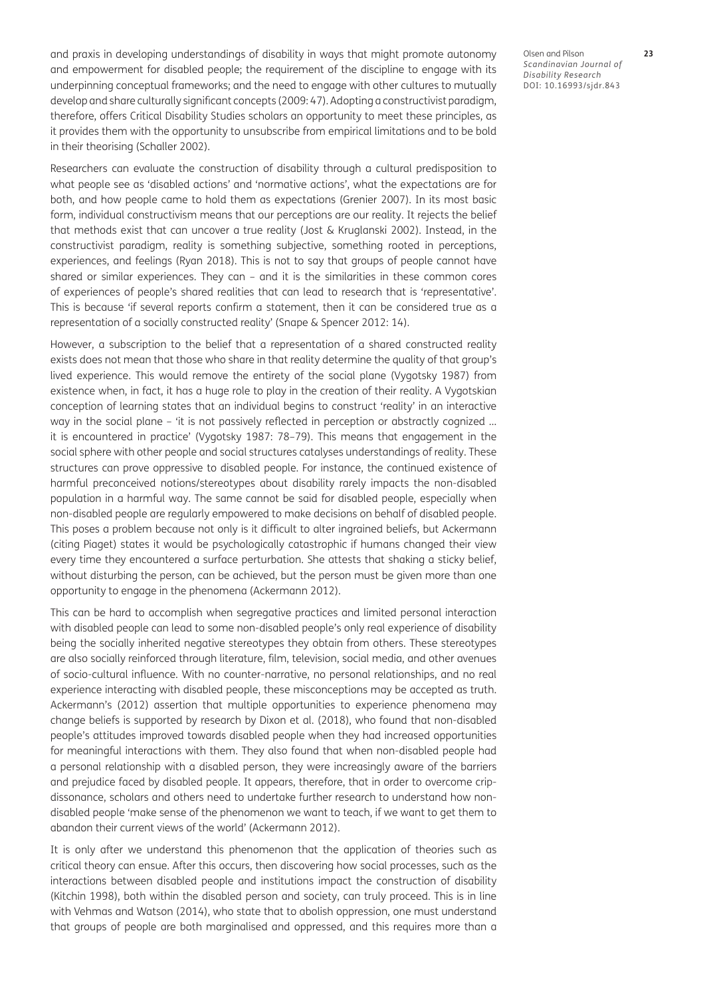and praxis in developing understandings of disability in ways that might promote autonomy and empowerment for disabled people; the requirement of the discipline to engage with its underpinning conceptual frameworks; and the need to engage with other cultures to mutually develop and share culturally significant concepts (2009: 47). Adopting a constructivist paradigm, therefore, offers Critical Disability Studies scholars an opportunity to meet these principles, as it provides them with the opportunity to unsubscribe from empirical limitations and to be bold in their theorising ([Schaller 2002](#page-12-0)).

Researchers can evaluate the construction of disability through a cultural predisposition to what people see as 'disabled actions' and 'normative actions', what the expectations are for both, and how people came to hold them as expectations ([Grenier 2007](#page-11-0)). In its most basic form, individual constructivism means that our perceptions are our reality. It rejects the belief that methods exist that can uncover a true reality [\(Jost & Kruglanski 2002\)](#page-11-0). Instead, in the constructivist paradigm, reality is something subjective, something rooted in perceptions, experiences, and feelings ([Ryan 2018](#page-12-0)). This is not to say that groups of people cannot have shared or similar experiences. They can – and it is the similarities in these common cores of experiences of people's shared realities that can lead to research that is 'representative'. This is because 'if several reports confirm a statement, then it can be considered true as a representation of a socially constructed reality' ([Snape & Spencer 2012: 14\)](#page-13-0).

However, a subscription to the belief that a representation of a shared constructed reality exists does not mean that those who share in that reality determine the quality of that group's lived experience. This would remove the entirety of the social plane [\(Vygotsky 1987\)](#page-13-0) from existence when, in fact, it has a huge role to play in the creation of their reality. A Vygotskian conception of learning states that an individual begins to construct 'reality' in an interactive way in the social plane – 'it is not passively reflected in perception or abstractly cognized ... it is encountered in practice' ([Vygotsky 1987](#page-13-0): 78–79). This means that engagement in the social sphere with other people and social structures catalyses understandings of reality. These structures can prove oppressive to disabled people. For instance, the continued existence of harmful preconceived notions/stereotypes about disability rarely impacts the non-disabled population in a harmful way. The same cannot be said for disabled people, especially when non-disabled people are regularly empowered to make decisions on behalf of disabled people. This poses a problem because not only is it difficult to alter ingrained beliefs, but Ackermann (citing Piaget) states it would be psychologically catastrophic if humans changed their view every time they encountered a surface perturbation. She attests that shaking a sticky belief, without disturbing the person, can be achieved, but the person must be given more than one opportunity to engage in the phenomena ([Ackermann 2012\)](#page-10-1).

This can be hard to accomplish when segregative practices and limited personal interaction with disabled people can lead to some non-disabled people's only real experience of disability being the socially inherited negative stereotypes they obtain from others. These stereotypes are also socially reinforced through literature, film, television, social media, and other avenues of socio-cultural influence. With no counter-narrative, no personal relationships, and no real experience interacting with disabled people, these misconceptions may be accepted as truth. Ackermann's [\(2012\)](#page-10-1) assertion that multiple opportunities to experience phenomena may change beliefs is supported by research by Dixon et al. [\(2018\)](#page-11-0), who found that non-disabled people's attitudes improved towards disabled people when they had increased opportunities for meaningful interactions with them. They also found that when non-disabled people had a personal relationship with a disabled person, they were increasingly aware of the barriers and prejudice faced by disabled people. It appears, therefore, that in order to overcome cripdissonance, scholars and others need to undertake further research to understand how nondisabled people 'make sense of the phenomenon we want to teach, if we want to get them to abandon their current views of the world' [\(Ackermann 2012](#page-10-1)).

It is only after we understand this phenomenon that the application of theories such as critical theory can ensue. After this occurs, then discovering how social processes, such as the interactions between disabled people and institutions impact the construction of disability [\(Kitchin 1998](#page-12-0)), both within the disabled person and society, can truly proceed. This is in line with Vehmas and Watson ([2014](#page-13-0)), who state that to abolish oppression, one must understand that groups of people are both marginalised and oppressed, and this requires more than a Olsen and Pilson **23** *Scandinavian Journal of Disability Research* DOI: [10.16993/sjdr.843](https://doi.org/10.16993/sjdr.843)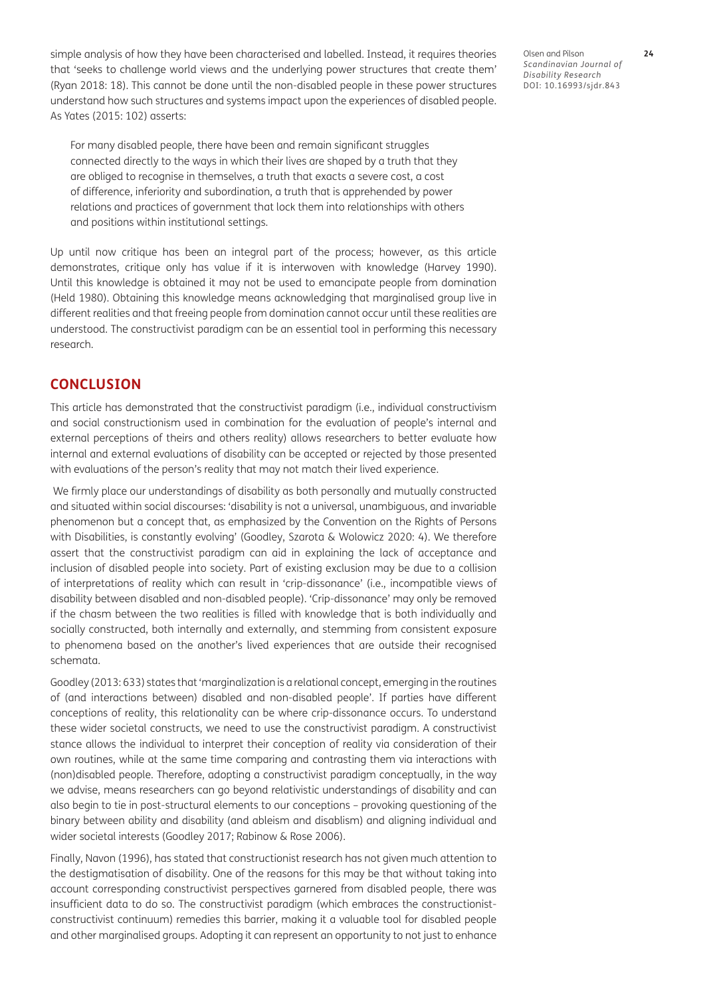simple analysis of how they have been characterised and labelled. Instead, it requires theories that 'seeks to challenge world views and the underlying power structures that create them' [\(Ryan 2018: 18](#page-12-0)). This cannot be done until the non-disabled people in these power structures understand how such structures and systems impact upon the experiences of disabled people. As Yates ([2015: 102\)](#page-13-0) asserts:

For many disabled people, there have been and remain significant struggles connected directly to the ways in which their lives are shaped by a truth that they are obliged to recognise in themselves, a truth that exacts a severe cost, a cost of difference, inferiority and subordination, a truth that is apprehended by power relations and practices of government that lock them into relationships with others and positions within institutional settings.

Up until now critique has been an integral part of the process; however, as this article demonstrates, critique only has value if it is interwoven with knowledge [\(Harvey 1990](#page-11-0)). Until this knowledge is obtained it may not be used to emancipate people from domination [\(Held 1980](#page-11-0)). Obtaining this knowledge means acknowledging that marginalised group live in different realities and that freeing people from domination cannot occur until these realities are understood. The constructivist paradigm can be an essential tool in performing this necessary research.

## **CONCLUSION**

This article has demonstrated that the constructivist paradigm (i.e., individual constructivism and social constructionism used in combination for the evaluation of people's internal and external perceptions of theirs and others reality) allows researchers to better evaluate how internal and external evaluations of disability can be accepted or rejected by those presented with evaluations of the person's reality that may not match their lived experience.

 We firmly place our understandings of disability as both personally and mutually constructed and situated within social discourses: 'disability is not a universal, unambiguous, and invariable phenomenon but a concept that, as emphasized by the Convention on the Rights of Persons with Disabilities, is constantly evolving' [\(Goodley, Szarota & Wolowicz 2020: 4](#page-11-0)). We therefore assert that the constructivist paradigm can aid in explaining the lack of acceptance and inclusion of disabled people into society. Part of existing exclusion may be due to a collision of interpretations of reality which can result in 'crip-dissonance' (i.e., incompatible views of disability between disabled and non-disabled people). 'Crip-dissonance' may only be removed if the chasm between the two realities is filled with knowledge that is both individually and socially constructed, both internally and externally, and stemming from consistent exposure to phenomena based on the another's lived experiences that are outside their recognised schemata.

Goodley ([2013: 633](#page-11-0)) states that 'marginalization is a relational concept, emerging in the routines of (and interactions between) disabled and non-disabled people'. If parties have different conceptions of reality, this relationality can be where crip-dissonance occurs. To understand these wider societal constructs, we need to use the constructivist paradigm. A constructivist stance allows the individual to interpret their conception of reality via consideration of their own routines, while at the same time comparing and contrasting them via interactions with (non)disabled people. Therefore, adopting a constructivist paradigm conceptually, in the way we advise, means researchers can go beyond relativistic understandings of disability and can also begin to tie in post-structural elements to our conceptions – provoking questioning of the binary between ability and disability (and ableism and disablism) and aligning individual and wider societal interests ([Goodley 2017](#page-11-0); [Rabinow & Rose 2006\)](#page-12-0).

Finally, Navon ([1996](#page-12-0)), has stated that constructionist research has not given much attention to the destigmatisation of disability. One of the reasons for this may be that without taking into account corresponding constructivist perspectives garnered from disabled people, there was insufficient data to do so. The constructivist paradigm (which embraces the constructionistconstructivist continuum) remedies this barrier, making it a valuable tool for disabled people and other marginalised groups. Adopting it can represent an opportunity to not just to enhance

Olsen and Pilson **24** *Scandinavian Journal of Disability Research* DOI: [10.16993/sjdr.843](https://doi.org/10.16993/sjdr.843)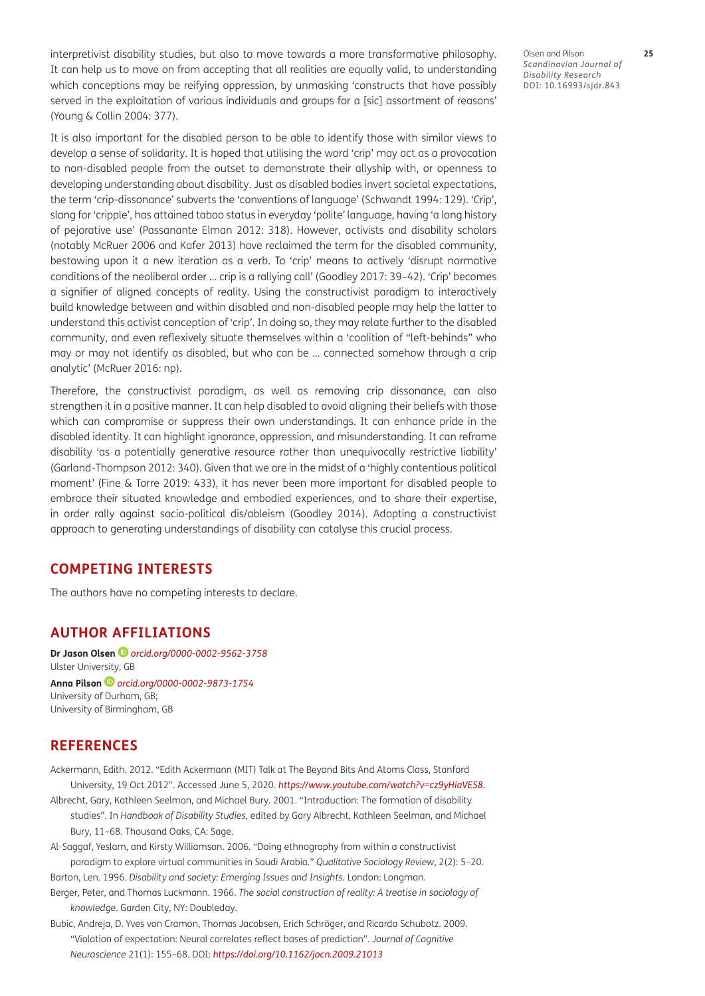<span id="page-10-1"></span>interpretivist disability studies, but also to move towards a more transformative philosophy. It can help us to move on from accepting that all realities are equally valid, to understanding which conceptions may be reifying oppression, by unmasking 'constructs that have possibly served in the exploitation of various individuals and groups for a [sic] assortment of reasons' [\(Young & Collin 2004: 377](#page-13-0)).

It is also important for the disabled person to be able to identify those with similar views to develop a sense of solidarity. It is hoped that utilising the word 'crip' may act as a provocation to non-disabled people from the outset to demonstrate their allyship with, or openness to developing understanding about disability. Just as disabled bodies invert societal expectations, the term 'crip-dissonance' subverts the 'conventions of language' [\(Schwandt 1994: 129\)](#page-12-0). 'Crip', slang for 'cripple', has attained taboo status in everyday 'polite' language, having 'a long history of pejorative use' ([Passanante Elman 2012: 318\)](#page-12-0). However, activists and disability scholars (notably [McRuer 2006](#page-12-0) and [Kafer 2013\)](#page-11-0) have reclaimed the term for the disabled community, bestowing upon it a new iteration as a verb. To 'crip' means to actively 'disrupt normative conditions of the neoliberal order … crip is a rallying call' [\(Goodley 2017: 39–42](#page-11-0)). 'Crip' becomes a signifier of aligned concepts of reality. Using the constructivist paradigm to interactively build knowledge between and within disabled and non-disabled people may help the latter to understand this activist conception of 'crip'. In doing so, they may relate further to the disabled community, and even reflexively situate themselves within a 'coalition of "left-behinds" who may or may not identify as disabled, but who can be … connected somehow through a crip analytic' ([McRuer 2016: np\)](#page-12-0).

Therefore, the constructivist paradigm, as well as removing crip dissonance, can also strengthen it in a positive manner. It can help disabled to avoid aligning their beliefs with those which can compromise or suppress their own understandings. It can enhance pride in the disabled identity. It can highlight ignorance, oppression, and misunderstanding. It can reframe disability 'as a potentially generative resource rather than unequivocally restrictive liability' [\(Garland-Thompson 2012: 340](#page-11-0)). Given that we are in the midst of a 'highly contentious political moment' ([Fine & Torre 2019: 433](#page-11-0)), it has never been more important for disabled people to embrace their situated knowledge and embodied experiences, and to share their expertise, in order rally against socio-political dis/ableism ([Goodley 2014\)](#page-11-0). Adopting a constructivist approach to generating understandings of disability can catalyse this crucial process.

# **COMPETING INTERESTS**

The authors have no competing interests to declare.

## <span id="page-10-0"></span>**AUTHOR AFFILIATIONS**

**Dr Jason Olsen** *[orcid.org/0000-0002-9562-3758](https://orcid.org/0000-0002-9562-3758)* Ulster University, GB **Anna Pilson***[orcid.org/0000-0002-9873-1754](https://orcid.org/0000-0002-9873-1754)* University of Durham, GB; University of Birmingham, GB

### **REFERENCES**

- Ackermann, Edith. 2012. "Edith Ackermann (MIT) Talk at The Beyond Bits And Atoms Class, Stanford University, 19 Oct 2012". Accessed June 5, 2020. *<https://www.youtube.com/watch?v=cz9yHiaVES8>*.
- Albrecht, Gary, Kathleen Seelman, and Michael Bury. 2001. "Introduction: The formation of disability studies". In *Handbook of Disability Studies,* edited by Gary Albrecht, Kathleen Seelman, and Michael Bury, 11–68. Thousand Oaks, CA: Sage.
- Al-Saggaf, Yeslam, and Kirsty Williamson. 2006. "Doing ethnography from within a constructivist paradigm to explore virtual communities in Saudi Arabia." *Qualitative Sociology Review,* 2(2): 5–20.
- Barton, Len. 1996. *Disability and society: Emerging Issues and Insights*. London: Longman.
- Berger, Peter, and Thomas Luckmann. 1966. *The social construction of reality: A treatise in sociology of knowledge*. Garden City, NY: Doubleday.
- Bubic, Andreja, D. Yves von Cramon, Thomas Jacobsen, Erich Schröger, and Ricarda Schubotz. 2009. "Violation of expectation: Neural correlates reflect bases of prediction". *Journal of Cognitive Neuroscience* 21(1): 155–68. DOI: *<https://doi.org/10.1162/jocn.2009.21013>*

Olsen and Pilson **25** *Scandinavian Journal of Disability Research* DOI: [10.16993/sjdr.843](https://doi.org/10.16993/sjdr.843)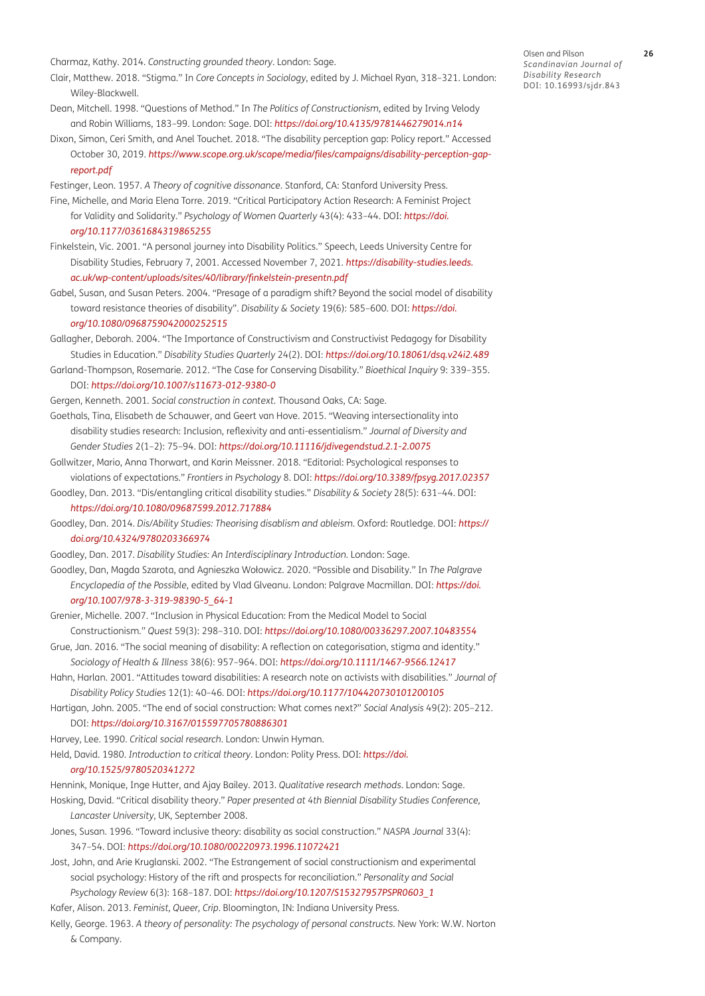<span id="page-11-0"></span>Charmaz, Kathy. 2014. *Constructing grounded theory*. London: Sage.

- Clair, Matthew. 2018. "Stigma." In *Core Concepts in Sociology*, edited by J. Michael Ryan, 318–321. London: Wiley-Blackwell.
- Dean, Mitchell. 1998. "Questions of Method." In *The Politics of Constructionism,* edited by Irving Velody and Robin Williams, 183–99. London: Sage. DOI: *<https://doi.org/10.4135/9781446279014.n14>*
- Dixon, Simon, Ceri Smith, and Anel Touchet. 2018. "The disability perception gap: Policy report." Accessed October 30, 2019. *[https://www.scope.org.uk/scope/media/files/campaigns/disability-perception-gap](https://www.scope.org.uk/scope/media/files/campaigns/disability-perception-gap-report.pdf)[report.pdf](https://www.scope.org.uk/scope/media/files/campaigns/disability-perception-gap-report.pdf)*
- Festinger, Leon. 1957. *A Theory of cognitive dissonance.* Stanford, CA: Stanford University Press. Fine, Michelle, and Maria Elena Torre. 2019. "Critical Participatory Action Research: A Feminist Project for Validity and Solidarity." *Psychology of Women Quarterly* 43(4): 433–44. DOI: *[https://doi.](https://doi.org/10.1177/0361684319865255) [org/10.1177/0361684319865255](https://doi.org/10.1177/0361684319865255)*
- Finkelstein, Vic. 2001. "A personal journey into Disability Politics." Speech, Leeds University Centre for Disability Studies, February 7, 2001. Accessed November 7, 2021. *[https://disability-studies.leeds.](https://disability-studies.leeds.ac.uk/wp-content/uploads/sites/40/library/finkelstein-presentn.pdf) [ac.uk/wp-content/uploads/sites/40/library/finkelstein-presentn.pdf](https://disability-studies.leeds.ac.uk/wp-content/uploads/sites/40/library/finkelstein-presentn.pdf)*
- Gabel, Susan, and Susan Peters. 2004. "Presage of a paradigm shift? Beyond the social model of disability toward resistance theories of disability". *Disability & Society* 19(6): 585–600. DOI: *[https://doi.](https://doi.org/10.1080/0968759042000252515) [org/10.1080/0968759042000252515](https://doi.org/10.1080/0968759042000252515)*

Gallagher, Deborah. 2004. "The Importance of Constructivism and Constructivist Pedagogy for Disability Studies in Education." *Disability Studies Quarterly* 24(2). DOI: *<https://doi.org/10.18061/dsq.v24i2.489>*

Garland-Thompson, Rosemarie. 2012. "The Case for Conserving Disability." *Bioethical Inquiry* 9: 339–355. DOI: *<https://doi.org/10.1007/s11673-012-9380-0>*

Gergen, Kenneth. 2001. *Social construction in context.* Thousand Oaks, CA: Sage.

- Goethals, Tina, Elisabeth de Schauwer, and Geert van Hove. 2015. "Weaving intersectionality into disability studies research: Inclusion, reflexivity and anti-essentialism." *Journal of Diversity and Gender Studies* 2(1–2): 75–94. DOI: *<https://doi.org/10.11116/jdivegendstud.2.1-2.0075>*
- Gollwitzer, Mario, Anna Thorwart, and Karin Meissner. 2018. "Editorial: Psychological responses to violations of expectations." *Frontiers in Psychology* 8. DOI: *<https://doi.org/10.3389/fpsyg.2017.02357>*
- Goodley, Dan. 2013. "Dis/entangling critical disability studies." *Disability & Society* 28(5): 631–44. DOI: *<https://doi.org/10.1080/09687599.2012.717884>*
- Goodley, Dan. 2014. *Dis/Ability Studies: Theorising disablism and ableism.* Oxford: Routledge. DOI: *[https://](https://doi.org/10.4324/9780203366974) [doi.org/10.4324/9780203366974](https://doi.org/10.4324/9780203366974)*

Goodley, Dan. 2017. *Disability Studies: An Interdisciplinary Introduction.* London: Sage.

- Goodley, Dan, Magda Szarota, and Agnieszka Wołowicz. 2020. "Possible and Disability." In *The Palgrave Encyclopedia of the Possible*, edited by Vlad Glăveanu. London: Palgrave Macmillan. DOI: *[https://doi.](https://doi.org/10.1007/978-3-319-98390-5_64-1) [org/10.1007/978-3-319-98390-5\\_64-1](https://doi.org/10.1007/978-3-319-98390-5_64-1)*
- Grenier, Michelle. 2007. "Inclusion in Physical Education: From the Medical Model to Social Constructionism." *Quest* 59(3): 298–310. DOI: *<https://doi.org/10.1080/00336297.2007.10483554>*
- Grue, Jan. 2016. "The social meaning of disability: A reflection on categorisation, stigma and identity." *Sociology of Health & Illness* 38(6): 957–964. DOI: *<https://doi.org/10.1111/1467-9566.12417>*
- Hahn, Harlan. 2001. "Attitudes toward disabilities: A research note on activists with disabilities." *Journal of Disability Policy Studies* 12(1): 40–46. DOI: *<https://doi.org/10.1177/104420730101200105>*
- Hartigan, John. 2005. "The end of social construction: What comes next?" *Social Analysis* 49(2): 205–212.

### DOI: *<https://doi.org/10.3167/015597705780886301>*

Harvey, Lee. 1990. *Critical social research*. London: Unwin Hyman.

Held, David. 1980. *Introduction to critical theory*. London: Polity Press. DOI: *[https://doi.](https://doi.org/10.1525/9780520341272)*

#### *[org/10.1525/9780520341272](https://doi.org/10.1525/9780520341272)*

Hennink, Monique, Inge Hutter, and Ajay Bailey. 2013. *Qualitative research methods*. London: Sage. Hosking, David. "Critical disability theory." *Paper presented at 4th Biennial Disability Studies Conference,* 

- *Lancaster University*, UK, September 2008.
- Jones, Susan. 1996. "Toward inclusive theory: disability as social construction." *NASPA Journal* 33(4): 347–54. DOI: *<https://doi.org/10.1080/00220973.1996.11072421>*
- Jost, John, and Arie Kruglanski. 2002. "The Estrangement of social constructionism and experimental social psychology: History of the rift and prospects for reconciliation." *Personality and Social Psychology Review* 6(3): 168–187. DOI: *[https://doi.org/10.1207/S15327957PSPR0603\\_1](https://doi.org/10.1207/S15327957PSPR0603_1)*
- Kafer, Alison. 2013. *Feminist, Queer, Crip*. Bloomington, IN: Indiana University Press.
- Kelly, George. 1963. *A theory of personality: The psychology of personal constructs.* New York: W.W. Norton & Company.

Olsen and Pilson **26** *Scandinavian Journal of Disability Research* DOI: [10.16993/sjdr.843](https://doi.org/10.16993/sjdr.843)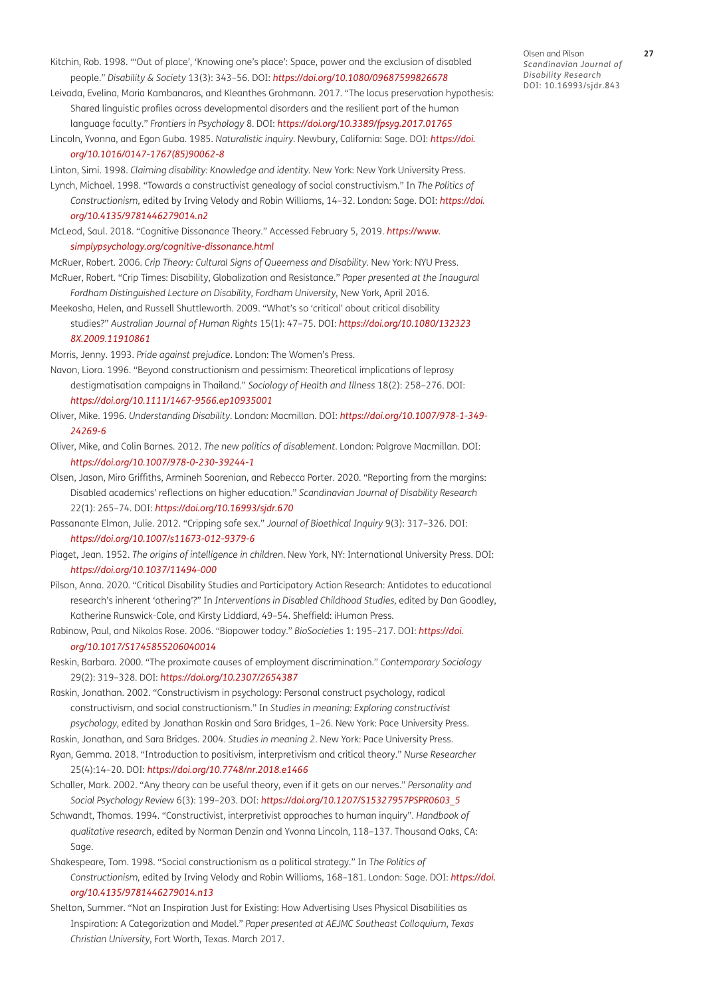- <span id="page-12-0"></span>Kitchin, Rob. 1998. "'Out of place', 'Knowing one's place': Space, power and the exclusion of disabled people." *Disability & Society* 13(3): 343–56. DOI: *<https://doi.org/10.1080/09687599826678>*
- Leivada, Evelina, Maria Kambanaros, and Kleanthes Grohmann. 2017. "The locus preservation hypothesis: Shared linguistic profiles across developmental disorders and the resilient part of the human language faculty." *Frontiers in Psychology* 8. DOI: *<https://doi.org/10.3389/fpsyg.2017.01765>*
- Lincoln, Yvonna, and Egon Guba. 1985. *Naturalistic inquiry*. Newbury, California: Sage. DOI: *[https://doi.](https://doi.org/10.1016/0147-1767(85)90062-8) [org/10.1016/0147-1767\(85\)90062-8](https://doi.org/10.1016/0147-1767(85)90062-8)*
- Linton, Simi. 1998. *Claiming disability: Knowledge and identity.* New York: New York University Press.
- Lynch, Michael. 1998. "Towards a constructivist genealogy of social constructivism." In *The Politics of Constructionism,* edited by Irving Velody and Robin Williams, 14–32. London: Sage. DOI: *[https://doi.](https://doi.org/10.4135/9781446279014.n2) [org/10.4135/9781446279014.n2](https://doi.org/10.4135/9781446279014.n2)*
- McLeod, Saul. 2018. "Cognitive Dissonance Theory." Accessed February 5, 2019. *[https://www.](https://www.simplypsychology.org/cognitive-dissonance.html) [simplypsychology.org/cognitive-dissonance.html](https://www.simplypsychology.org/cognitive-dissonance.html)*
- McRuer, Robert. 2006. *Crip Theory: Cultural Signs of Queerness and Disability*. New York: NYU Press.
- McRuer, Robert. "Crip Times: Disability, Globalization and Resistance." *Paper presented at the Inaugural Fordham Distinguished Lecture on Disability, Fordham University*, New York, April 2016.
- Meekosha, Helen, and Russell Shuttleworth. 2009. "What's so 'critical' about critical disability studies?" *Australian Journal of Human Rights* 15(1): 47–75. DOI: *[https://doi.org/10.1080/132323](https://doi.org/10.1080/1323238X.2009.11910861) [8X.2009.11910861](https://doi.org/10.1080/1323238X.2009.11910861)*
- Morris, Jenny. 1993. *Pride against prejudice*. London: The Women's Press.
- Navon, Liora. 1996. "Beyond constructionism and pessimism: Theoretical implications of leprosy destigmatisation campaigns in Thailand." *Sociology of Health and Illness* 18(2): 258–276. DOI: *<https://doi.org/10.1111/1467-9566.ep10935001>*
- Oliver, Mike. 1996. *Understanding Disability*. London: Macmillan. DOI: *[https://doi.org/10.1007/978-1-349-](https://doi.org/10.1007/978-1-349-24269-6) [24269-6](https://doi.org/10.1007/978-1-349-24269-6)*
- Oliver, Mike, and Colin Barnes. 2012. *The new politics of disablement*. London: Palgrave Macmillan. DOI: *<https://doi.org/10.1007/978-0-230-39244-1>*
- Olsen, Jason, Miro Griffiths, Armineh Soorenian, and Rebecca Porter. 2020. "Reporting from the margins: Disabled academics' reflections on higher education." *Scandinavian Journal of Disability Research* 22(1): 265–74. DOI: *<https://doi.org/10.16993/sjdr.670>*
- Passanante Elman, Julie. 2012. "Cripping safe sex." *Journal of Bioethical Inquiry* 9(3): 317–326. DOI: *<https://doi.org/10.1007/s11673-012-9379-6>*
- Piaget, Jean. 1952. *The origins of intelligence in children*. New York, NY: International University Press. DOI: *<https://doi.org/10.1037/11494-000>*
- Pilson, Anna. 2020. "Critical Disability Studies and Participatory Action Research: Antidotes to educational research's inherent 'othering'?" In *Interventions in Disabled Childhood Studies,* edited by Dan Goodley, Katherine Runswick-Cole, and Kirsty Liddiard, 49–54. Sheffield: iHuman Press.
- Rabinow, Paul, and Nikolas Rose. 2006. "Biopower today." *BioSocieties* 1: 195–217. DOI: *[https://doi.](https://doi.org/10.1017/S1745855206040014) [org/10.1017/S1745855206040014](https://doi.org/10.1017/S1745855206040014)*
- Reskin, Barbara. 2000. "The proximate causes of employment discrimination." *Contemporary Sociology*  29(2): 319–328. DOI: *<https://doi.org/10.2307/2654387>*
- Raskin, Jonathan. 2002. "Constructivism in psychology: Personal construct psychology, radical constructivism, and social constructionism." In *Studies in meaning: Exploring constructivist psychology,* edited by Jonathan Raskin and Sara Bridges, 1–26*.* New York: Pace University Press.
- Raskin, Jonathan, and Sara Bridges. 2004. *Studies in meaning 2*. New York: Pace University Press. Ryan, Gemma. 2018. "Introduction to positivism, interpretivism and critical theory." *Nurse Researcher* 25(4):14–20. DOI: *<https://doi.org/10.7748/nr.2018.e1466>*
- Schaller, Mark. 2002. "Any theory can be useful theory, even if it gets on our nerves." *Personality and Social Psychology Review* 6(3): 199–203. DOI: *[https://doi.org/10.1207/S15327957PSPR0603\\_5](https://doi.org/10.1207/S15327957PSPR0603_5)*
- Schwandt, Thomas. 1994. "Constructivist, interpretivist approaches to human inquiry". *Handbook of qualitative research*, edited by Norman Denzin and Yvonna Lincoln, 118–137. Thousand Oaks, CA: Sage.
- Shakespeare, Tom. 1998. "Social constructionism as a political strategy." In *The Politics of Constructionism,* edited by Irving Velody and Robin Williams, 168–181. London: Sage. DOI: *[https://doi.](https://doi.org/10.4135/9781446279014.n13) [org/10.4135/9781446279014.n13](https://doi.org/10.4135/9781446279014.n13)*
- Shelton, Summer. "Not an Inspiration Just for Existing: How Advertising Uses Physical Disabilities as Inspiration: A Categorization and Model." *Paper presented at AEJMC Southeast Colloquium, Texas Christian University*, Fort Worth, Texas. March 2017.

Olsen and Pilson **27** *Scandinavian Journal of Disability Research* DOI: [10.16993/sjdr.843](https://doi.org/10.16993/sjdr.843)